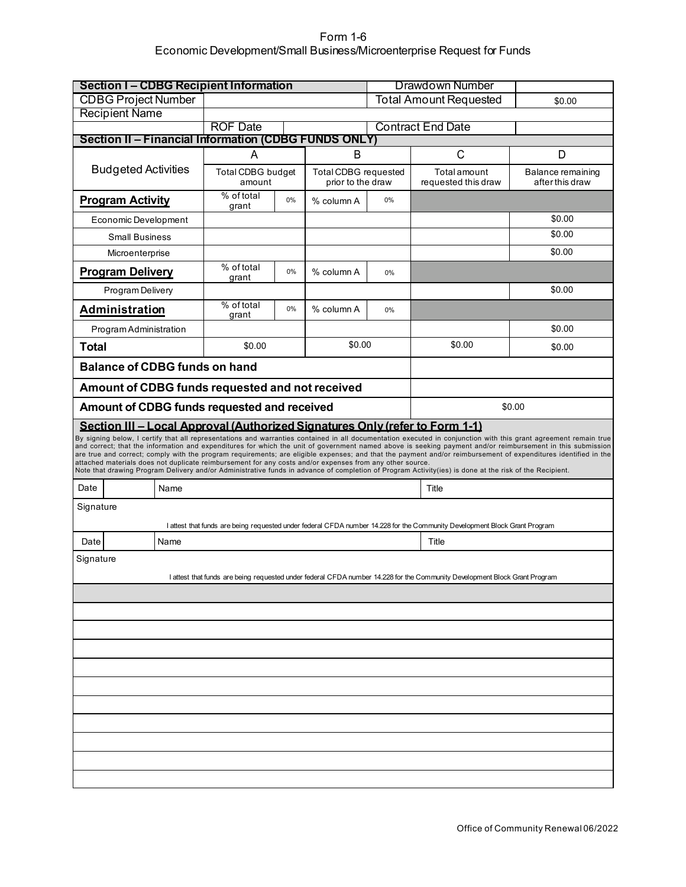## Form 1-6 Economic Development/Small Business/Microenterprise Request for Funds

| <b>Section I-CDBG Recipient Information</b>                                                                                                                                                                                                                                                                                                                                                                                                                                                                                                                                                                                                                                                                                                                                                                                                            |      |                               | <b>Drawdown Number</b> |                                           |                                         |                                                                                                                            |                                      |  |  |  |  |
|--------------------------------------------------------------------------------------------------------------------------------------------------------------------------------------------------------------------------------------------------------------------------------------------------------------------------------------------------------------------------------------------------------------------------------------------------------------------------------------------------------------------------------------------------------------------------------------------------------------------------------------------------------------------------------------------------------------------------------------------------------------------------------------------------------------------------------------------------------|------|-------------------------------|------------------------|-------------------------------------------|-----------------------------------------|----------------------------------------------------------------------------------------------------------------------------|--------------------------------------|--|--|--|--|
| <b>CDBG Project Number</b>                                                                                                                                                                                                                                                                                                                                                                                                                                                                                                                                                                                                                                                                                                                                                                                                                             |      |                               |                        |                                           | <b>Total Amount Requested</b><br>\$0.00 |                                                                                                                            |                                      |  |  |  |  |
| <b>Recipient Name</b>                                                                                                                                                                                                                                                                                                                                                                                                                                                                                                                                                                                                                                                                                                                                                                                                                                  |      |                               |                        |                                           |                                         |                                                                                                                            |                                      |  |  |  |  |
| <b>Section II - Financial Information (CDBG FUNDS ONLY)</b>                                                                                                                                                                                                                                                                                                                                                                                                                                                                                                                                                                                                                                                                                                                                                                                            |      | <b>ROF Date</b>               |                        |                                           |                                         | <b>Contract End Date</b>                                                                                                   |                                      |  |  |  |  |
|                                                                                                                                                                                                                                                                                                                                                                                                                                                                                                                                                                                                                                                                                                                                                                                                                                                        |      | A                             |                        | B                                         |                                         | C                                                                                                                          | D                                    |  |  |  |  |
| <b>Budgeted Activities</b>                                                                                                                                                                                                                                                                                                                                                                                                                                                                                                                                                                                                                                                                                                                                                                                                                             |      | Total CDBG budget             |                        | Total CDBG requested<br>prior to the draw |                                         | Total amount<br>requested this draw                                                                                        | Balance remaining<br>after this draw |  |  |  |  |
| <b>Program Activity</b>                                                                                                                                                                                                                                                                                                                                                                                                                                                                                                                                                                                                                                                                                                                                                                                                                                |      | amount<br>% of total<br>grant | % column A             | 0%                                        |                                         |                                                                                                                            |                                      |  |  |  |  |
| Economic Development                                                                                                                                                                                                                                                                                                                                                                                                                                                                                                                                                                                                                                                                                                                                                                                                                                   |      |                               |                        |                                           |                                         |                                                                                                                            | \$0.00                               |  |  |  |  |
| <b>Small Business</b>                                                                                                                                                                                                                                                                                                                                                                                                                                                                                                                                                                                                                                                                                                                                                                                                                                  |      |                               |                        |                                           |                                         |                                                                                                                            | \$0.00                               |  |  |  |  |
| Microenterprise                                                                                                                                                                                                                                                                                                                                                                                                                                                                                                                                                                                                                                                                                                                                                                                                                                        |      |                               |                        |                                           |                                         |                                                                                                                            | \$0.00                               |  |  |  |  |
| <b>Program Delivery</b>                                                                                                                                                                                                                                                                                                                                                                                                                                                                                                                                                                                                                                                                                                                                                                                                                                |      | % of total<br>grant           | 0%                     | % column A                                | 0%                                      |                                                                                                                            |                                      |  |  |  |  |
| Program Delivery                                                                                                                                                                                                                                                                                                                                                                                                                                                                                                                                                                                                                                                                                                                                                                                                                                       |      |                               |                        |                                           |                                         |                                                                                                                            | \$0.00                               |  |  |  |  |
| Administration                                                                                                                                                                                                                                                                                                                                                                                                                                                                                                                                                                                                                                                                                                                                                                                                                                         |      | % of total<br>grant           | 0%                     | % column A                                | 0%                                      |                                                                                                                            |                                      |  |  |  |  |
| Program Administration                                                                                                                                                                                                                                                                                                                                                                                                                                                                                                                                                                                                                                                                                                                                                                                                                                 |      |                               |                        |                                           |                                         |                                                                                                                            | \$0.00                               |  |  |  |  |
| <b>Total</b>                                                                                                                                                                                                                                                                                                                                                                                                                                                                                                                                                                                                                                                                                                                                                                                                                                           |      | \$0.00                        |                        | \$0.00                                    |                                         | \$0.00                                                                                                                     | \$0.00                               |  |  |  |  |
| <b>Balance of CDBG funds on hand</b>                                                                                                                                                                                                                                                                                                                                                                                                                                                                                                                                                                                                                                                                                                                                                                                                                   |      |                               |                        |                                           |                                         |                                                                                                                            |                                      |  |  |  |  |
| Amount of CDBG funds requested and not received                                                                                                                                                                                                                                                                                                                                                                                                                                                                                                                                                                                                                                                                                                                                                                                                        |      |                               |                        |                                           |                                         |                                                                                                                            |                                      |  |  |  |  |
| Amount of CDBG funds requested and received                                                                                                                                                                                                                                                                                                                                                                                                                                                                                                                                                                                                                                                                                                                                                                                                            |      |                               |                        |                                           |                                         |                                                                                                                            | \$0.00                               |  |  |  |  |
| Section III - Local Approval (Authorized Signatures Only (refer to Form 1-1)<br>By signing below, I certify that all representations and warranties contained in all documentation executed in conjunction with this grant agreement remain true<br>and correct; that the information and expenditures for which the unit of government named above is seeking payment and/or reimbursement in this submission<br>are true and correct; comply with the program requirements; are eligible expenses; and that the payment and/or reimbursement of expenditures identified in the<br>attached materials does not duplicate reimbursement for any costs and/or expenses from any other source.<br>Note that drawing Program Delivery and/or Administrative funds in advance of completion of Program Activity(ies) is done at the risk of the Recipient. |      |                               |                        |                                           |                                         |                                                                                                                            |                                      |  |  |  |  |
| Date                                                                                                                                                                                                                                                                                                                                                                                                                                                                                                                                                                                                                                                                                                                                                                                                                                                   | Name |                               |                        |                                           |                                         | Title                                                                                                                      |                                      |  |  |  |  |
| Signature                                                                                                                                                                                                                                                                                                                                                                                                                                                                                                                                                                                                                                                                                                                                                                                                                                              |      |                               |                        |                                           |                                         |                                                                                                                            |                                      |  |  |  |  |
|                                                                                                                                                                                                                                                                                                                                                                                                                                                                                                                                                                                                                                                                                                                                                                                                                                                        |      |                               |                        |                                           |                                         | I attest that funds are being requested under federal CFDA number 14.228 for the Community Development Block Grant Program |                                      |  |  |  |  |
| Date                                                                                                                                                                                                                                                                                                                                                                                                                                                                                                                                                                                                                                                                                                                                                                                                                                                   | Name |                               |                        |                                           |                                         | Title                                                                                                                      |                                      |  |  |  |  |
| Signature<br>I attest that funds are being requested under federal CFDA number 14.228 for the Community Development Block Grant Program                                                                                                                                                                                                                                                                                                                                                                                                                                                                                                                                                                                                                                                                                                                |      |                               |                        |                                           |                                         |                                                                                                                            |                                      |  |  |  |  |
|                                                                                                                                                                                                                                                                                                                                                                                                                                                                                                                                                                                                                                                                                                                                                                                                                                                        |      |                               |                        |                                           |                                         |                                                                                                                            |                                      |  |  |  |  |
|                                                                                                                                                                                                                                                                                                                                                                                                                                                                                                                                                                                                                                                                                                                                                                                                                                                        |      |                               |                        |                                           |                                         |                                                                                                                            |                                      |  |  |  |  |
|                                                                                                                                                                                                                                                                                                                                                                                                                                                                                                                                                                                                                                                                                                                                                                                                                                                        |      |                               |                        |                                           |                                         |                                                                                                                            |                                      |  |  |  |  |
|                                                                                                                                                                                                                                                                                                                                                                                                                                                                                                                                                                                                                                                                                                                                                                                                                                                        |      |                               |                        |                                           |                                         |                                                                                                                            |                                      |  |  |  |  |
|                                                                                                                                                                                                                                                                                                                                                                                                                                                                                                                                                                                                                                                                                                                                                                                                                                                        |      |                               |                        |                                           |                                         |                                                                                                                            |                                      |  |  |  |  |
|                                                                                                                                                                                                                                                                                                                                                                                                                                                                                                                                                                                                                                                                                                                                                                                                                                                        |      |                               |                        |                                           |                                         |                                                                                                                            |                                      |  |  |  |  |
|                                                                                                                                                                                                                                                                                                                                                                                                                                                                                                                                                                                                                                                                                                                                                                                                                                                        |      |                               |                        |                                           |                                         |                                                                                                                            |                                      |  |  |  |  |
|                                                                                                                                                                                                                                                                                                                                                                                                                                                                                                                                                                                                                                                                                                                                                                                                                                                        |      |                               |                        |                                           |                                         |                                                                                                                            |                                      |  |  |  |  |
|                                                                                                                                                                                                                                                                                                                                                                                                                                                                                                                                                                                                                                                                                                                                                                                                                                                        |      |                               |                        |                                           |                                         |                                                                                                                            |                                      |  |  |  |  |
|                                                                                                                                                                                                                                                                                                                                                                                                                                                                                                                                                                                                                                                                                                                                                                                                                                                        |      |                               |                        |                                           |                                         |                                                                                                                            |                                      |  |  |  |  |
|                                                                                                                                                                                                                                                                                                                                                                                                                                                                                                                                                                                                                                                                                                                                                                                                                                                        |      |                               |                        |                                           |                                         |                                                                                                                            |                                      |  |  |  |  |